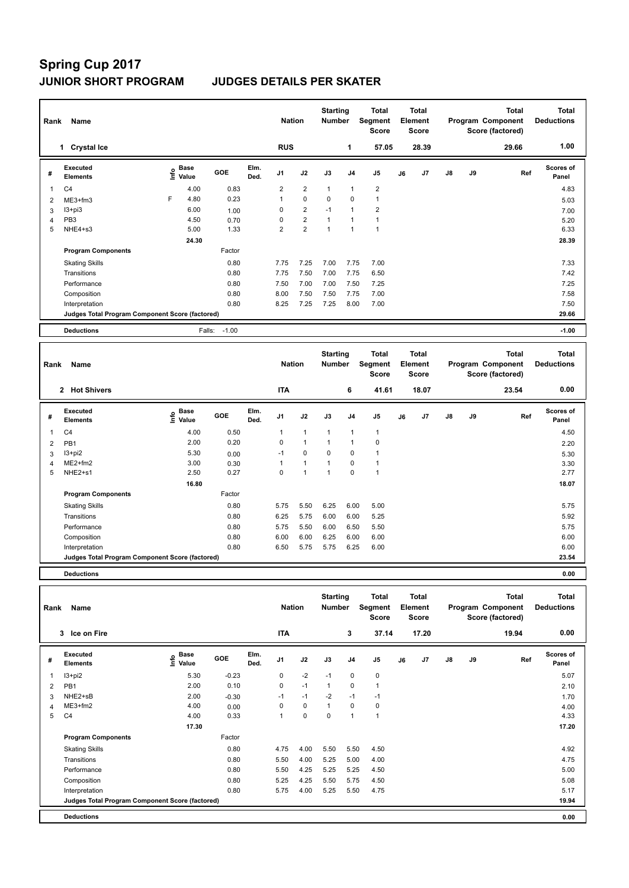## **Spring Cup 2017 JUNIOR SHORT PROGRAM JUDGES DETAILS PER SKATER**

| Name<br>Rank   |                                                 |      |                      |         |              |                | <b>Nation</b>  |                | <b>Starting</b><br><b>Number</b> | <b>Total</b><br>Segment<br><b>Score</b> | <b>Total</b><br>Element<br><b>Score</b> |       |               |    | <b>Total</b><br>Program Component<br>Score (factored) | <b>Total</b><br><b>Deductions</b> |
|----------------|-------------------------------------------------|------|----------------------|---------|--------------|----------------|----------------|----------------|----------------------------------|-----------------------------------------|-----------------------------------------|-------|---------------|----|-------------------------------------------------------|-----------------------------------|
|                | 1 Crystal Ice                                   |      |                      |         |              | <b>RUS</b>     |                |                | 1                                | 57.05                                   |                                         | 28.39 |               |    | 29.66                                                 | 1.00                              |
| #              | Executed<br><b>Elements</b>                     | ١nf٥ | <b>Base</b><br>Value | GOE     | Elm.<br>Ded. | J <sub>1</sub> | J2             | J3             | J <sub>4</sub>                   | J <sub>5</sub>                          | J6                                      | J7    | $\mathsf{J}8$ | J9 | Ref                                                   | Scores of<br>Panel                |
| $\overline{1}$ | C <sub>4</sub>                                  |      | 4.00                 | 0.83    |              | $\overline{2}$ | $\overline{2}$ | $\overline{1}$ | $\overline{1}$                   | $\overline{2}$                          |                                         |       |               |    |                                                       | 4.83                              |
| 2              | ME3+fm3                                         | F    | 4.80                 | 0.23    |              | 1              | $\mathbf 0$    | 0              | 0                                |                                         |                                         |       |               |    |                                                       | 5.03                              |
| 3              | $13 + pi3$                                      |      | 6.00                 | 1.00    |              | 0              | $\overline{2}$ | $-1$           | $\overline{1}$                   | $\overline{2}$                          |                                         |       |               |    |                                                       | 7.00                              |
| $\overline{4}$ | PB <sub>3</sub>                                 |      | 4.50                 | 0.70    |              | 0              | $\overline{2}$ | $\overline{1}$ | $\overline{1}$                   |                                         |                                         |       |               |    |                                                       | 5.20                              |
| 5              | NHE4+s3                                         |      | 5.00                 | 1.33    |              | $\overline{2}$ | $\overline{2}$ | $\overline{1}$ | 1                                |                                         |                                         |       |               |    |                                                       | 6.33                              |
|                |                                                 |      | 24.30                |         |              |                |                |                |                                  |                                         |                                         |       |               |    |                                                       | 28.39                             |
|                | <b>Program Components</b>                       |      |                      | Factor  |              |                |                |                |                                  |                                         |                                         |       |               |    |                                                       |                                   |
|                | <b>Skating Skills</b>                           |      |                      | 0.80    |              | 7.75           | 7.25           | 7.00           | 7.75                             | 7.00                                    |                                         |       |               |    |                                                       | 7.33                              |
|                | Transitions                                     |      |                      | 0.80    |              | 7.75           | 7.50           | 7.00           | 7.75                             | 6.50                                    |                                         |       |               |    |                                                       | 7.42                              |
|                | Performance                                     |      |                      | 0.80    |              | 7.50           | 7.00           | 7.00           | 7.50                             | 7.25                                    |                                         |       |               |    |                                                       | 7.25                              |
|                | Composition                                     |      |                      | 0.80    |              | 8.00           | 7.50           | 7.50           | 7.75                             | 7.00                                    |                                         |       |               |    |                                                       | 7.58                              |
|                | Interpretation                                  |      |                      | 0.80    |              | 8.25           | 7.25           | 7.25           | 8.00                             | 7.00                                    |                                         |       |               |    |                                                       | 7.50                              |
|                | Judges Total Program Component Score (factored) |      |                      |         |              |                |                |                |                                  |                                         |                                         |       |               |    |                                                       | 29.66                             |
|                | <b>Deductions</b>                               |      | Falls:               | $-1.00$ |              |                |                |                |                                  |                                         |                                         |       |               |    |                                                       | $-1.00$                           |

|   | Name<br>Rank                                    |                                                   |            |              |                |                | <b>Starting</b><br><b>Number</b> |                | <b>Total</b><br><b>Segment</b><br>Score | <b>Total</b><br>Element<br><b>Score</b> |       |               |    | Total<br>Program Component<br>Score (factored) | <b>Total</b><br><b>Deductions</b> |
|---|-------------------------------------------------|---------------------------------------------------|------------|--------------|----------------|----------------|----------------------------------|----------------|-----------------------------------------|-----------------------------------------|-------|---------------|----|------------------------------------------------|-----------------------------------|
|   | <b>Hot Shivers</b><br>$\overline{2}$            |                                                   |            |              | <b>ITA</b>     |                |                                  | 6              | 41.61                                   |                                         | 18.07 |               |    | 23.54                                          | 0.00                              |
| # | <b>Executed</b><br><b>Elements</b>              | Base<br>$\mathop{\mathsf{Irr}}\nolimits$<br>Value | <b>GOE</b> | Elm.<br>Ded. | J <sub>1</sub> | J2             | J3                               | J <sub>4</sub> | J <sub>5</sub>                          | J6                                      | J7    | $\mathsf{J}8$ | J9 | Ref                                            | <b>Scores of</b><br>Panel         |
| 1 | C <sub>4</sub>                                  | 4.00                                              | 0.50       |              | 1              | 1              | $\overline{1}$                   | $\overline{1}$ | $\overline{1}$                          |                                         |       |               |    |                                                | 4.50                              |
| 2 | PB1                                             | 2.00                                              | 0.20       |              | 0              | $\overline{1}$ | $\overline{1}$                   | -1             | 0                                       |                                         |       |               |    |                                                | 2.20                              |
| 3 | $13 + pi2$                                      | 5.30                                              | 0.00       |              | $-1$           | 0              | 0                                | 0              | 1                                       |                                         |       |               |    |                                                | 5.30                              |
| 4 | ME2+fm2                                         | 3.00                                              | 0.30       |              |                | 1              | $\overline{ }$                   | 0              | 1                                       |                                         |       |               |    |                                                | 3.30                              |
| 5 | NHE2+s1                                         | 2.50                                              | 0.27       |              | 0              | $\overline{1}$ | 1                                | 0              | 1                                       |                                         |       |               |    |                                                | 2.77                              |
|   |                                                 | 16.80                                             |            |              |                |                |                                  |                |                                         |                                         |       |               |    |                                                | 18.07                             |
|   | <b>Program Components</b>                       |                                                   | Factor     |              |                |                |                                  |                |                                         |                                         |       |               |    |                                                |                                   |
|   | <b>Skating Skills</b>                           |                                                   | 0.80       |              | 5.75           | 5.50           | 6.25                             | 6.00           | 5.00                                    |                                         |       |               |    |                                                | 5.75                              |
|   | Transitions                                     |                                                   | 0.80       |              | 6.25           | 5.75           | 6.00                             | 6.00           | 5.25                                    |                                         |       |               |    |                                                | 5.92                              |
|   | Performance                                     |                                                   | 0.80       |              | 5.75           | 5.50           | 6.00                             | 6.50           | 5.50                                    |                                         |       |               |    |                                                | 5.75                              |
|   | Composition                                     |                                                   | 0.80       |              | 6.00           | 6.00           | 6.25                             | 6.00           | 6.00                                    |                                         |       |               |    |                                                | 6.00                              |
|   | Interpretation                                  |                                                   | 0.80       |              | 6.50           | 5.75           | 5.75                             | 6.25           | 6.00                                    |                                         |       |               |    |                                                | 6.00                              |
|   | Judges Total Program Component Score (factored) |                                                   |            |              |                |                |                                  |                |                                         |                                         |       |               |    |                                                | 23.54                             |
|   |                                                 |                                                   |            |              |                |                |                                  |                |                                         |                                         |       |               |    |                                                |                                   |

**Deductions 0.00**

| Name<br>Rank |                                                 |                       |         |              | <b>Nation</b>  |             | <b>Starting</b><br><b>Number</b> |                | Total<br>Segment<br><b>Score</b> | Total<br>Element<br><b>Score</b> |       |    |    | <b>Total</b><br>Program Component<br>Score (factored) | <b>Total</b><br><b>Deductions</b> |
|--------------|-------------------------------------------------|-----------------------|---------|--------------|----------------|-------------|----------------------------------|----------------|----------------------------------|----------------------------------|-------|----|----|-------------------------------------------------------|-----------------------------------|
|              | 3 Ice on Fire                                   |                       |         |              | <b>ITA</b>     |             |                                  | 3              | 37.14                            |                                  | 17.20 |    |    | 19.94                                                 | 0.00                              |
| #            | Executed<br><b>Elements</b>                     | Base<br>lnfo<br>Value | GOE     | Elm.<br>Ded. | J <sub>1</sub> | J2          | J3                               | J <sub>4</sub> | J <sub>5</sub>                   | J6                               | J7    | J8 | J9 | Ref                                                   | Scores of<br>Panel                |
|              | $13 + pi2$                                      | 5.30                  | $-0.23$ |              | 0              | $-2$        | $-1$                             | 0              | $\pmb{0}$                        |                                  |       |    |    |                                                       | 5.07                              |
| 2            | PB1                                             | 2.00                  | 0.10    |              | 0              | $-1$        | $\mathbf{1}$                     | 0              | 1                                |                                  |       |    |    |                                                       | 2.10                              |
| 3            | NHE2+sB                                         | 2.00                  | $-0.30$ |              | $-1$           | $-1$        | $-2$                             | $-1$           | $-1$                             |                                  |       |    |    |                                                       | 1.70                              |
| 4            | ME3+fm2                                         | 4.00                  | 0.00    |              | 0              | 0           | 1                                | 0              | 0                                |                                  |       |    |    |                                                       | 4.00                              |
| 5            | C <sub>4</sub>                                  | 4.00                  | 0.33    |              | 1              | $\mathbf 0$ | 0                                | $\overline{1}$ | 1                                |                                  |       |    |    |                                                       | 4.33                              |
|              |                                                 | 17.30                 |         |              |                |             |                                  |                |                                  |                                  |       |    |    |                                                       | 17.20                             |
|              | <b>Program Components</b>                       |                       | Factor  |              |                |             |                                  |                |                                  |                                  |       |    |    |                                                       |                                   |
|              | <b>Skating Skills</b>                           |                       | 0.80    |              | 4.75           | 4.00        | 5.50                             | 5.50           | 4.50                             |                                  |       |    |    |                                                       | 4.92                              |
|              | Transitions                                     |                       | 0.80    |              | 5.50           | 4.00        | 5.25                             | 5.00           | 4.00                             |                                  |       |    |    |                                                       | 4.75                              |
|              | Performance                                     |                       | 0.80    |              | 5.50           | 4.25        | 5.25                             | 5.25           | 4.50                             |                                  |       |    |    |                                                       | 5.00                              |
|              | Composition                                     |                       | 0.80    |              | 5.25           | 4.25        | 5.50                             | 5.75           | 4.50                             |                                  |       |    |    |                                                       | 5.08                              |
|              | Interpretation                                  |                       | 0.80    |              | 5.75           | 4.00        | 5.25                             | 5.50           | 4.75                             |                                  |       |    |    |                                                       | 5.17                              |
|              | Judges Total Program Component Score (factored) |                       |         |              |                |             |                                  |                |                                  |                                  |       |    |    |                                                       | 19.94                             |
|              | <b>Deductions</b>                               |                       |         |              |                |             |                                  |                |                                  |                                  |       |    |    |                                                       | 0.00                              |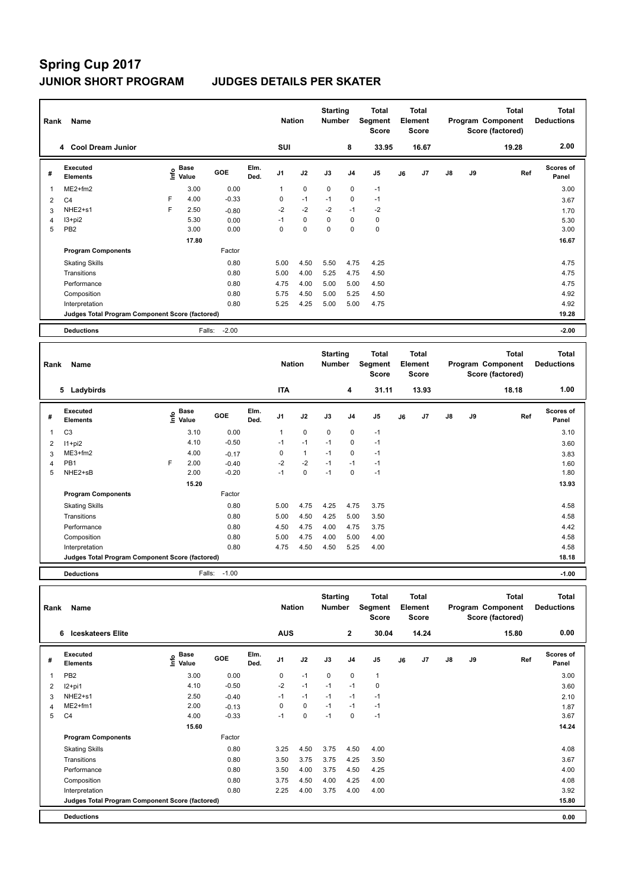# **Spring Cup 2017**

## **JUNIOR SHORT PROGRAM JUDGES DETAILS PER SKATER**

| Name<br>Rank            |                                                 |   |                                  |         |              | <b>Nation</b>  |             | <b>Starting</b><br><b>Number</b> |                | <b>Total</b><br>Segment<br><b>Score</b> | <b>Total</b><br>Element<br><b>Score</b><br>16.67 |    |               |    | <b>Total</b><br>Program Component<br>Score (factored) | <b>Total</b><br><b>Deductions</b> |
|-------------------------|-------------------------------------------------|---|----------------------------------|---------|--------------|----------------|-------------|----------------------------------|----------------|-----------------------------------------|--------------------------------------------------|----|---------------|----|-------------------------------------------------------|-----------------------------------|
|                         | 4 Cool Dream Junior                             |   |                                  |         |              | <b>SUI</b>     |             |                                  | 8              | 33.95                                   |                                                  |    |               |    | 19.28                                                 | 2.00                              |
| #                       | Executed<br><b>Elements</b>                     |   | <b>Base</b><br>e Base<br>⊆ Value | GOE     | Elm.<br>Ded. | J <sub>1</sub> | J2          | J3                               | J <sub>4</sub> | J <sub>5</sub>                          | J6                                               | J7 | $\mathsf{J}8$ | J9 | Ref                                                   | <b>Scores of</b><br>Panel         |
| $\overline{\mathbf{1}}$ | $ME2+fm2$                                       |   | 3.00                             | 0.00    |              | 1              | $\mathbf 0$ | $\mathbf 0$                      | $\mathbf 0$    | $-1$                                    |                                                  |    |               |    |                                                       | 3.00                              |
| 2                       | C <sub>4</sub>                                  | E | 4.00                             | $-0.33$ |              | 0              | $-1$        | $-1$                             | 0              | $-1$                                    |                                                  |    |               |    |                                                       | 3.67                              |
| 3                       | NHE2+s1                                         | F | 2.50                             | $-0.80$ |              | $-2$           | $-2$        | $-2$                             | $-1$           | $-2$                                    |                                                  |    |               |    |                                                       | 1.70                              |
| 4                       | I3+pi2                                          |   | 5.30                             | 0.00    |              | $-1$           | $\mathbf 0$ | 0                                | 0              | 0                                       |                                                  |    |               |    |                                                       | 5.30                              |
| 5                       | PB <sub>2</sub>                                 |   | 3.00                             | 0.00    |              | 0              | $\mathbf 0$ | 0                                | 0              | $\pmb{0}$                               |                                                  |    |               |    |                                                       | 3.00                              |
|                         |                                                 |   | 17.80                            |         |              |                |             |                                  |                |                                         |                                                  |    |               |    |                                                       | 16.67                             |
|                         | <b>Program Components</b>                       |   |                                  | Factor  |              |                |             |                                  |                |                                         |                                                  |    |               |    |                                                       |                                   |
|                         | <b>Skating Skills</b>                           |   |                                  | 0.80    |              | 5.00           | 4.50        | 5.50                             | 4.75           | 4.25                                    |                                                  |    |               |    |                                                       | 4.75                              |
|                         | Transitions                                     |   |                                  | 0.80    |              | 5.00           | 4.00        | 5.25                             | 4.75           | 4.50                                    |                                                  |    |               |    |                                                       | 4.75                              |
|                         | Performance                                     |   |                                  | 0.80    |              | 4.75           | 4.00        | 5.00                             | 5.00           | 4.50                                    |                                                  |    |               |    |                                                       | 4.75                              |
|                         | Composition                                     |   |                                  | 0.80    |              | 5.75           | 4.50        | 5.00                             | 5.25           | 4.50                                    |                                                  |    |               |    |                                                       | 4.92                              |
|                         | Interpretation                                  |   |                                  | 0.80    |              | 5.25           | 4.25        | 5.00                             | 5.00           | 4.75                                    |                                                  |    |               |    |                                                       | 4.92                              |
|                         | Judges Total Program Component Score (factored) |   |                                  |         |              |                |             |                                  |                |                                         |                                                  |    |               |    |                                                       | 19.28                             |
|                         | <b>Deductions</b>                               |   | Falls:                           | $-2.00$ |              |                |             |                                  |                |                                         |                                                  |    |               |    |                                                       | $-2.00$                           |

| Name<br>Rank |                                                 |   |                                                                               |            |              | <b>Nation</b>  |              | <b>Starting</b><br><b>Number</b> |                | Total<br>Segment<br><b>Score</b> | Total<br>Element<br><b>Score</b> |       | Program Component |    | <b>Total</b><br>Score (factored) | <b>Total</b><br><b>Deductions</b> |
|--------------|-------------------------------------------------|---|-------------------------------------------------------------------------------|------------|--------------|----------------|--------------|----------------------------------|----------------|----------------------------------|----------------------------------|-------|-------------------|----|----------------------------------|-----------------------------------|
|              | 5 Ladybirds                                     |   |                                                                               |            |              | <b>ITA</b>     |              |                                  | 4              | 31.11                            |                                  | 13.93 |                   |    | 18.18                            | 1.00                              |
| #            | Executed<br><b>Elements</b>                     |   | $\overset{\circ}{\text{\sf E}}$ Base<br>$\overset{\circ}{\text{\sf E}}$ Value | <b>GOE</b> | Elm.<br>Ded. | J <sub>1</sub> | J2           | J3                               | J <sub>4</sub> | J <sub>5</sub>                   | J6                               | J7    | $\mathsf{J}8$     | J9 | Ref                              | <b>Scores of</b><br>Panel         |
| 1            | C <sub>3</sub>                                  |   | 3.10                                                                          | 0.00       |              | 1              | 0            | 0                                | 0              | $-1$                             |                                  |       |                   |    |                                  | 3.10                              |
| 2            | $11+pi2$                                        |   | 4.10                                                                          | $-0.50$    |              | $-1$           | $-1$         | $-1$                             | 0              | $-1$                             |                                  |       |                   |    |                                  | 3.60                              |
| 3            | ME3+fm2                                         |   | 4.00                                                                          | $-0.17$    |              | 0              | $\mathbf{1}$ | $-1$                             | 0              | $-1$                             |                                  |       |                   |    |                                  | 3.83                              |
| 4            | PB1                                             | F | 2.00                                                                          | $-0.40$    |              | $-2$           | $-2$         | $-1$                             | $-1$           | $-1$                             |                                  |       |                   |    |                                  | 1.60                              |
| 5            | NHE2+sB                                         |   | 2.00                                                                          | $-0.20$    |              | $-1$           | $\mathbf 0$  | $-1$                             | 0              | $-1$                             |                                  |       |                   |    |                                  | 1.80                              |
|              |                                                 |   | 15.20                                                                         |            |              |                |              |                                  |                |                                  |                                  |       |                   |    |                                  | 13.93                             |
|              | <b>Program Components</b>                       |   |                                                                               | Factor     |              |                |              |                                  |                |                                  |                                  |       |                   |    |                                  |                                   |
|              | <b>Skating Skills</b>                           |   |                                                                               | 0.80       |              | 5.00           | 4.75         | 4.25                             | 4.75           | 3.75                             |                                  |       |                   |    |                                  | 4.58                              |
|              | Transitions                                     |   |                                                                               | 0.80       |              | 5.00           | 4.50         | 4.25                             | 5.00           | 3.50                             |                                  |       |                   |    |                                  | 4.58                              |
|              | Performance                                     |   |                                                                               | 0.80       |              | 4.50           | 4.75         | 4.00                             | 4.75           | 3.75                             |                                  |       |                   |    |                                  | 4.42                              |
|              | Composition                                     |   |                                                                               | 0.80       |              | 5.00           | 4.75         | 4.00                             | 5.00           | 4.00                             |                                  |       |                   |    |                                  | 4.58                              |
|              | Interpretation                                  |   |                                                                               | 0.80       |              | 4.75           | 4.50         | 4.50                             | 5.25           | 4.00                             |                                  |       |                   |    |                                  | 4.58                              |
|              | Judges Total Program Component Score (factored) |   |                                                                               |            |              |                |              |                                  |                |                                  |                                  | 18.18 |                   |    |                                  |                                   |
|              | <b>Deductions</b>                               |   | Falls:                                                                        | $-1.00$    |              |                |              |                                  |                |                                  |                                  |       |                   |    |                                  | $-1.00$                           |

**Total Deductions Total Program Component Score (factored) Total Element Score Total Segment Score Starting Rank Name Nation Number # Executed Elements Base Info Value GOE J1 J2 J3 J4 J5 J6 J7 J8 J9 Scores of Panel** 1 3.00 0.00 0 -1 0 0 1 **Ref**  3.00 **Elm. Ded.**  PB2  **6 Iceskateers Elite AUS 2 30.04 14.24 15.80 0.00** 2 I2+pi1 4.10 -0.50 -2 -1 -1 -1 0 3.60 3 NHE2+s1 2.50 -0.40 -1 -1 -1 -1 -1 2.10 4 ME2+fm1 2.00 -0.13 0 0 -1 -1 -1 -1 -1 1.87 5 C4 4.00 -0.33 -1 0 -1 0 -1 3.67  **15.60** 14.24 **Program Components**  Skating Skills 3.25 4.50 3.75 4.50 4.00 Factor Transitions 0.80 3.50 3.75 3.75 4.25 3.50 3.67 Performance 0.80 3.50 4.00 3.75 4.50 4.25 4.00 Composition 0.80 3.75 4.50 4.00 4.25 4.00 4.08 Interpretation 0.80 2.25 4.00 3.75 4.00 4.00 3.92 **Deductions 0.00 Judges Total Program Component Score (factored) 15.80**